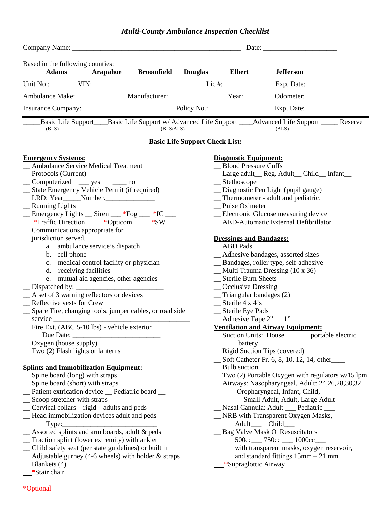# *Multi-County Ambulance Inspection Checklist*

| Based in the following counties:<br>Adams Arapahoe<br><b>Broomfield Douglas</b>                                    |           | <b>Elbert</b>                             | <b>Jefferson</b>                                          |  |
|--------------------------------------------------------------------------------------------------------------------|-----------|-------------------------------------------|-----------------------------------------------------------|--|
|                                                                                                                    |           |                                           |                                                           |  |
| Ambulance Make: _________________ Manufacturer: _________________________________ Odometer: ______________         |           |                                           |                                                           |  |
|                                                                                                                    |           |                                           |                                                           |  |
|                                                                                                                    |           |                                           |                                                           |  |
| Basic Life Support____Basic Life Support w/ Advanced Life Support ____Advanced Life Support _____ Reserve<br>(BLS) | (BLS/ALS) |                                           | (ALS)                                                     |  |
| <b>Basic Life Support Check List:</b>                                                                              |           |                                           |                                                           |  |
| <b>Emergency Systems:</b>                                                                                          |           | <b>Diagnostic Equipment:</b>              |                                                           |  |
| _ Ambulance Service Medical Treatment                                                                              |           | _ Blood Pressure Cuffs                    |                                                           |  |
| Protocols (Current)                                                                                                |           |                                           | Large adult_Reg. Adult_Child_Infant_                      |  |
| _Computerized __ yes __ no                                                                                         |           | $S$ tethoscope                            |                                                           |  |
| _ State Emergency Vehicle Permit (if required)                                                                     |           | _ Diagnostic Pen Light (pupil gauge)      |                                                           |  |
|                                                                                                                    |           | _ Thermometer - adult and pediatric.      |                                                           |  |
| _ Running Lights                                                                                                   |           | _Pulse Oximeter                           |                                                           |  |
| Emergency Lights __ Siren ___ *Fog ___ *IC __                                                                      |           | _ Electronic Glucose measuring device     |                                                           |  |
| *Traffic Direction ____ *Opticom ____ *SW ____                                                                     |           |                                           | _AED-Automatic External Defibrillator                     |  |
| Communications appropriate for                                                                                     |           |                                           |                                                           |  |
| jurisdiction served.                                                                                               |           | <b>Dressings and Bandages:</b>            |                                                           |  |
| a. ambulance service's dispatch                                                                                    |           | <b>ABD</b> Pads                           |                                                           |  |
| b. cell phone                                                                                                      |           |                                           | _ Adhesive bandages, assorted sizes                       |  |
| c. medical control facility or physician                                                                           |           | _ Bandages, roller type, self-adhesive    |                                                           |  |
| d. receiving facilities                                                                                            |           | $\_$ Multi Trauma Dressing (10 x 36)      |                                                           |  |
| e. mutual aid agencies, other agencies                                                                             |           | _Sterile Burn Sheets                      |                                                           |  |
| $\Box$ Dispatched by: $\Box$                                                                                       |           | _Occlusive Dressing                       |                                                           |  |
| A set of 3 warning reflectors or devices                                                                           |           | $\equiv$ Triangular bandages (2)          |                                                           |  |
| _Reflective vests for Crew                                                                                         |           | $\equiv$ Sterile 4 x 4's                  |                                                           |  |
| _ Spare Tire, changing tools, jumper cables, or road side                                                          |           | __ Sterile Eye Pads                       |                                                           |  |
| $s$ ervice $\_\_$                                                                                                  |           | $\_$ Adhesive Tape 2" $\_$ 1" $\_$        |                                                           |  |
| Fire Ext. (ABC 5-10 lbs) - vehicle exterior                                                                        |           |                                           | <b>Ventilation and Airway Equipment:</b>                  |  |
| Due Date: $\overline{\phantom{a}}$                                                                                 |           |                                           | _ Suction Units: House___ __ portable electric            |  |
| $\_\_$ Oxygen (house supply)                                                                                       |           | _____ battery                             |                                                           |  |
| $\equiv$ Two (2) Flash lights or lanterns                                                                          |           |                                           | _Rigid Suction Tips (covered)                             |  |
|                                                                                                                    |           |                                           | Soft Catheter Fr. 6, 8, 10, 12, 14, other                 |  |
| <b>Splints and Immobilization Equipment:</b>                                                                       |           | _ Bulb suction                            |                                                           |  |
| _ Spine board (long) with straps                                                                                   |           |                                           | $\equiv$ Two (2) Portable Oxygen with regulators w/15 lpm |  |
| Spine board (short) with straps                                                                                    |           |                                           | _ Airways: Nasopharyngeal, Adult: 24,26,28,30,32          |  |
| _Patient extrication device _ Pediatric board _                                                                    |           | Oropharyngeal, Infant, Child,             |                                                           |  |
| _ Scoop stretcher with straps                                                                                      |           |                                           | Small Adult, Adult, Large Adult                           |  |
| _Cervical collars - rigid - adults and peds                                                                        |           | Nasal Cannula: Adult __ Pediatric __      |                                                           |  |
| Head immobilization devices adult and peds                                                                         |           |                                           | _ NRB with Transparent Oxygen Masks,                      |  |
| Type:                                                                                                              |           |                                           | Adult__ Child                                             |  |
| _Assorted splints and arm boards, adult & peds                                                                     |           |                                           | $\_\_\$ Bag Valve Mask O <sub>2</sub> Resuscitators       |  |
| _ Traction splint (lower extremity) with anklet                                                                    |           |                                           | 500cc___ 750cc __ 1000cc__                                |  |
| _ Child safety seat (per state guidelines) or built in                                                             |           | with transparent masks, oxygen reservoir, |                                                           |  |
| $\_\_\$ Adjustable gurney (4-6 wheels) with holder & straps                                                        |           | and standard fittings $15$ mm $-21$ mm    |                                                           |  |
| $\equiv$ Blankets (4)                                                                                              |           | _*Supraglottic Airway                     |                                                           |  |
| $\frac{\text{*Stair}}{\text{Star}}$                                                                                |           |                                           |                                                           |  |